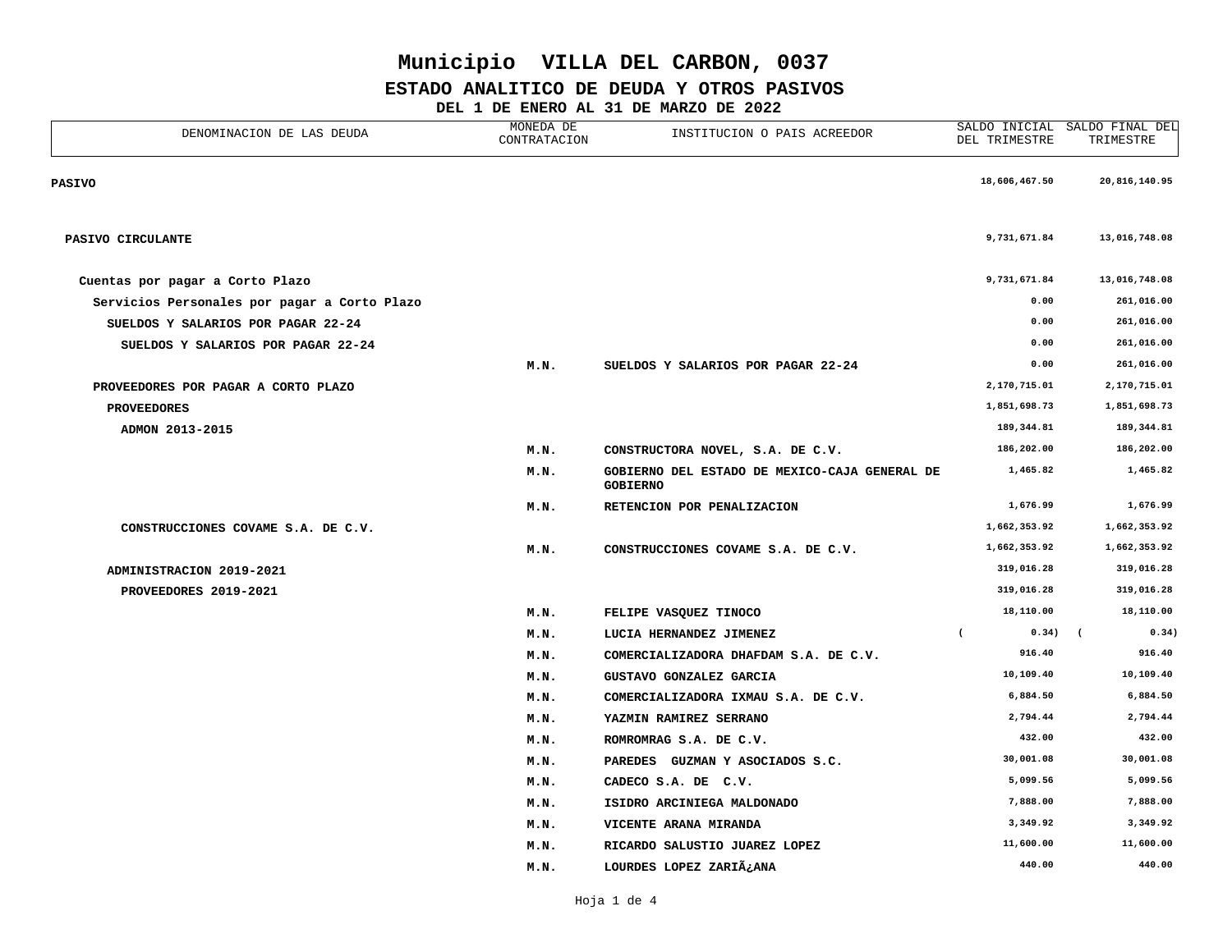### **ESTADO ANALITICO DE DEUDA Y OTROS PASIVOS**

**DEL 1 DE ENERO AL 31 DE MARZO DE 2022**

| DENOMINACION DE LAS DEUDA                    | MONEDA DE<br>INSTITUCION O PAIS ACREEDOR<br>CONTRATACION |                                                                  | DEL TRIMESTRE           | SALDO INICIAL SALDO FINAL DEL<br>TRIMESTRE |  |
|----------------------------------------------|----------------------------------------------------------|------------------------------------------------------------------|-------------------------|--------------------------------------------|--|
| <b>PASIVO</b>                                |                                                          |                                                                  | 18,606,467.50           | 20,816,140.95                              |  |
| PASIVO CIRCULANTE                            |                                                          |                                                                  | 9,731,671.84            | 13,016,748.08                              |  |
| Cuentas por pagar a Corto Plazo              |                                                          |                                                                  | 9,731,671.84            | 13,016,748.08                              |  |
| Servicios Personales por pagar a Corto Plazo |                                                          |                                                                  | 0.00                    | 261,016.00                                 |  |
| SUELDOS Y SALARIOS POR PAGAR 22-24           |                                                          |                                                                  | 0.00                    | 261,016.00                                 |  |
| SUELDOS Y SALARIOS POR PAGAR 22-24           |                                                          |                                                                  | 0.00                    | 261,016.00                                 |  |
|                                              | M.N.                                                     | SUELDOS Y SALARIOS POR PAGAR 22-24                               | 0.00                    | 261,016.00                                 |  |
| PROVEEDORES POR PAGAR A CORTO PLAZO          |                                                          |                                                                  | 2,170,715.01            | 2,170,715.01                               |  |
| <b>PROVEEDORES</b>                           |                                                          |                                                                  | 1,851,698.73            | 1,851,698.73                               |  |
| ADMON 2013-2015                              |                                                          |                                                                  | 189,344.81              | 189,344.81                                 |  |
|                                              | M.N.                                                     | CONSTRUCTORA NOVEL, S.A. DE C.V.                                 | 186,202.00              | 186,202.00                                 |  |
|                                              | M.N.                                                     | GOBIERNO DEL ESTADO DE MEXICO-CAJA GENERAL DE<br><b>GOBIERNO</b> | 1,465.82                | 1,465.82                                   |  |
|                                              | M.N.                                                     | RETENCION POR PENALIZACION                                       | 1,676.99                | 1,676.99                                   |  |
| CONSTRUCCIONES COVAME S.A. DE C.V.           |                                                          |                                                                  | 1,662,353.92            | 1,662,353.92                               |  |
|                                              | M.N.                                                     | CONSTRUCCIONES COVAME S.A. DE C.V.                               | 1,662,353.92            | 1,662,353.92                               |  |
| ADMINISTRACION 2019-2021                     |                                                          |                                                                  | 319,016.28              | 319,016.28                                 |  |
| PROVEEDORES 2019-2021                        |                                                          |                                                                  | 319,016.28              | 319,016.28                                 |  |
|                                              | M.N.                                                     | FELIPE VASQUEZ TINOCO                                            | 18,110.00               | 18,110.00                                  |  |
|                                              | M.N.                                                     | LUCIA HERNANDEZ JIMENEZ                                          | $\overline{ }$<br>0.34) | 0.34)<br>$\sqrt{2}$                        |  |
|                                              | M.N.                                                     | COMERCIALIZADORA DHAFDAM S.A. DE C.V.                            | 916.40                  | 916.40                                     |  |
|                                              | M.N.                                                     | GUSTAVO GONZALEZ GARCIA                                          | 10,109.40               | 10,109.40                                  |  |
|                                              | M.N.                                                     | COMERCIALIZADORA IXMAU S.A. DE C.V.                              | 6,884.50                | 6,884.50                                   |  |
|                                              | M.N.                                                     | YAZMIN RAMIREZ SERRANO                                           | 2,794.44                | 2,794.44                                   |  |
|                                              | M.N.                                                     | ROMROMRAG S.A. DE C.V.                                           | 432.00                  | 432.00                                     |  |
|                                              | M.N.                                                     | PAREDES GUZMAN Y ASOCIADOS S.C.                                  | 30,001.08               | 30,001.08                                  |  |
|                                              | M.N.                                                     | CADECO S.A. DE C.V.                                              | 5,099.56                | 5,099.56                                   |  |
|                                              | M.N.                                                     | ISIDRO ARCINIEGA MALDONADO                                       | 7,888.00                | 7,888.00                                   |  |
|                                              | M.N.                                                     | VICENTE ARANA MIRANDA                                            | 3,349.92                | 3,349.92                                   |  |
|                                              | M.N.                                                     | RICARDO SALUSTIO JUAREZ LOPEZ                                    | 11,600.00               | 11,600.00                                  |  |
|                                              | M.N.                                                     | LOURDES LOPEZ ZARIÿANA                                           | 440.00                  | 440.00                                     |  |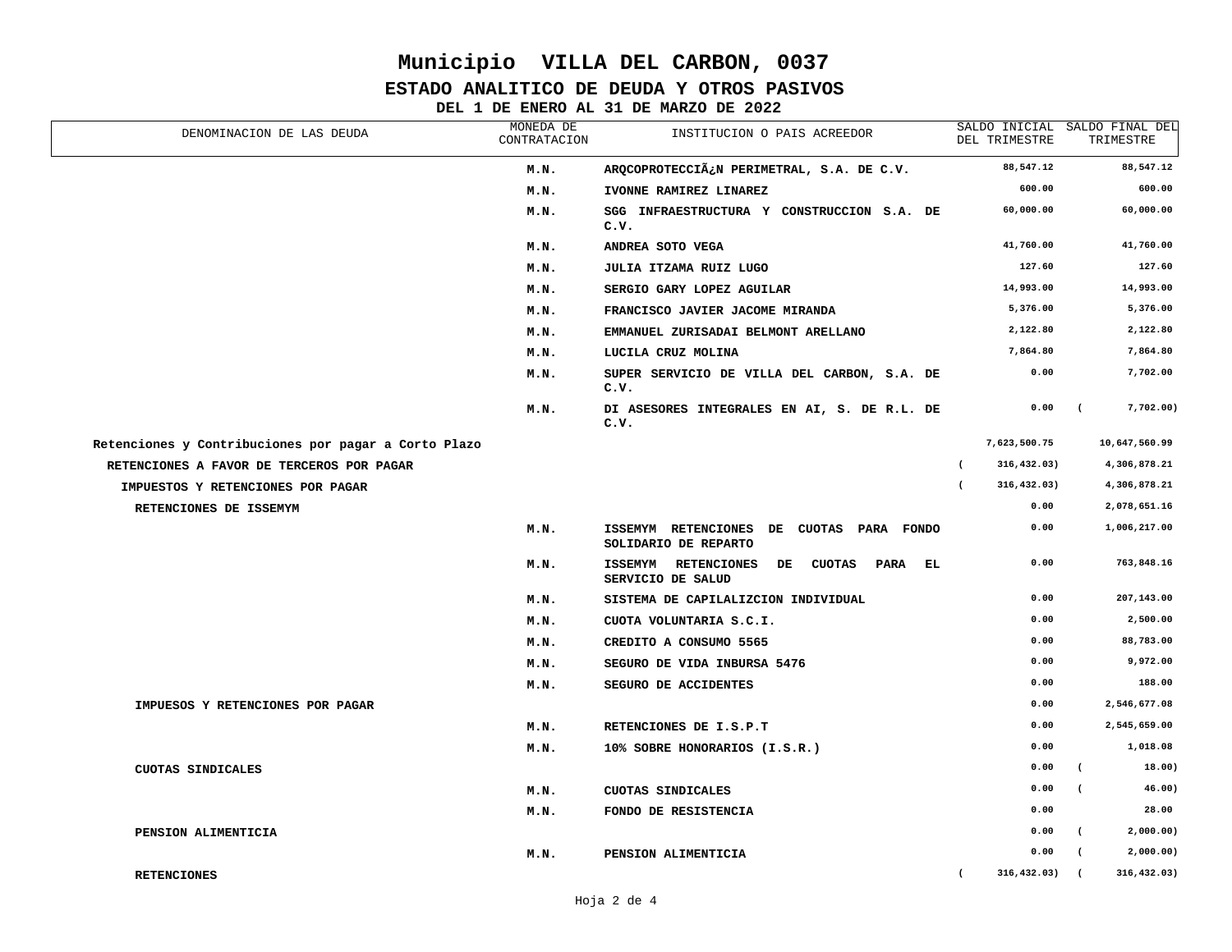### **ESTADO ANALITICO DE DEUDA Y OTROS PASIVOS**

### **DEL 1 DE ENERO AL 31 DE MARZO DE 2022**

| DENOMINACION DE LAS DEUDA                            | MONEDA DE<br>CONTRATACION | INSTITUCION O PAIS ACREEDOR                                                |                | DEL TRIMESTRE   |                | SALDO INICIAL SALDO FINAL DEL<br>TRIMESTRE |
|------------------------------------------------------|---------------------------|----------------------------------------------------------------------------|----------------|-----------------|----------------|--------------------------------------------|
|                                                      | M.N.                      | ARQCOPROTECCIÿN PERIMETRAL, S.A. DE C.V.                                   |                | 88,547.12       |                | 88,547.12                                  |
|                                                      | M.N.                      | IVONNE RAMIREZ LINAREZ                                                     |                | 600.00          |                | 600.00                                     |
|                                                      | M.N.                      | SGG INFRAESTRUCTURA Y CONSTRUCCION S.A. DE<br>c.v.                         |                | 60,000.00       |                | 60,000.00                                  |
|                                                      | M.N.                      | ANDREA SOTO VEGA                                                           |                | 41,760.00       |                | 41,760.00                                  |
|                                                      | M.N.                      | JULIA ITZAMA RUIZ LUGO                                                     |                | 127.60          |                | 127.60                                     |
|                                                      | M.N.                      | SERGIO GARY LOPEZ AGUILAR                                                  |                | 14,993.00       |                | 14,993.00                                  |
|                                                      | M.N.                      | FRANCISCO JAVIER JACOME MIRANDA                                            |                | 5,376.00        |                | 5,376.00                                   |
|                                                      | M.N.                      | EMMANUEL ZURISADAI BELMONT ARELLANO                                        |                | 2,122.80        |                | 2,122.80                                   |
|                                                      | M.N.                      | LUCILA CRUZ MOLINA                                                         |                | 7,864.80        |                | 7,864.80                                   |
|                                                      | M.N.                      | SUPER SERVICIO DE VILLA DEL CARBON, S.A. DE<br>c.v.                        |                | 0.00            |                | 7,702.00                                   |
|                                                      | M.N.                      | DI ASESORES INTEGRALES EN AI, S. DE R.L. DE<br>c.v.                        |                | 0.00            | $\sqrt{2}$     | 7,702.00)                                  |
| Retenciones y Contribuciones por pagar a Corto Plazo |                           |                                                                            |                | 7,623,500.75    |                | 10,647,560.99                              |
| RETENCIONES A FAVOR DE TERCEROS POR PAGAR            |                           |                                                                            | $\left($       | 316,432.03)     |                | 4,306,878.21                               |
| IMPUESTOS Y RETENCIONES POR PAGAR                    |                           |                                                                            | $\overline{ }$ | 316,432.03)     |                | 4,306,878.21                               |
| RETENCIONES DE ISSEMYM                               |                           |                                                                            |                | 0.00            |                | 2,078,651.16                               |
|                                                      | M.N.                      | ISSEMYM RETENCIONES DE CUOTAS PARA FONDO<br>SOLIDARIO DE REPARTO           |                | 0.00            |                | 1,006,217.00                               |
|                                                      | M.N.                      | PARA EL<br>ISSEMYM RETENCIONES<br><b>CUOTAS</b><br>DE<br>SERVICIO DE SALUD |                | 0.00            |                | 763,848.16                                 |
|                                                      | M.N.                      | SISTEMA DE CAPILALIZCION INDIVIDUAL                                        |                | 0.00            |                | 207,143.00                                 |
|                                                      | M.N.                      | CUOTA VOLUNTARIA S.C.I.                                                    |                | 0.00            |                | 2,500.00                                   |
|                                                      | M.N.                      | CREDITO A CONSUMO 5565                                                     |                | 0.00            |                | 88,783.00                                  |
|                                                      | M.N.                      | SEGURO DE VIDA INBURSA 5476                                                |                | 0.00            |                | 9,972.00                                   |
|                                                      | M.N.                      | SEGURO DE ACCIDENTES                                                       |                | 0.00            |                | 188.00                                     |
| IMPUESOS Y RETENCIONES POR PAGAR                     |                           |                                                                            |                | 0.00            |                | 2,546,677.08                               |
|                                                      | M.N.                      | RETENCIONES DE I.S.P.T                                                     |                | 0.00            |                | 2,545,659.00                               |
|                                                      | M.N.                      | 10% SOBRE HONORARIOS (I.S.R.)                                              |                | 0.00            |                | 1,018.08                                   |
| CUOTAS SINDICALES                                    |                           |                                                                            |                | 0.00            | $\epsilon$     | 18.00)                                     |
|                                                      | M.N.                      | CUOTAS SINDICALES                                                          |                | 0.00            | $\left($       | 46.00)                                     |
|                                                      | M.N.                      | FONDO DE RESISTENCIA                                                       |                | 0.00            |                | 28.00                                      |
| PENSION ALIMENTICIA                                  |                           |                                                                            |                | 0.00            | $\overline{ }$ | 2,000.00)                                  |
|                                                      | M.N.                      | PENSION ALIMENTICIA                                                        |                | 0.00            | $\sqrt{2}$     | 2,000.00)                                  |
| <b>RETENCIONES</b>                                   |                           |                                                                            | $\overline{ }$ | $316, 432.03$ ( |                | 316,432.03)                                |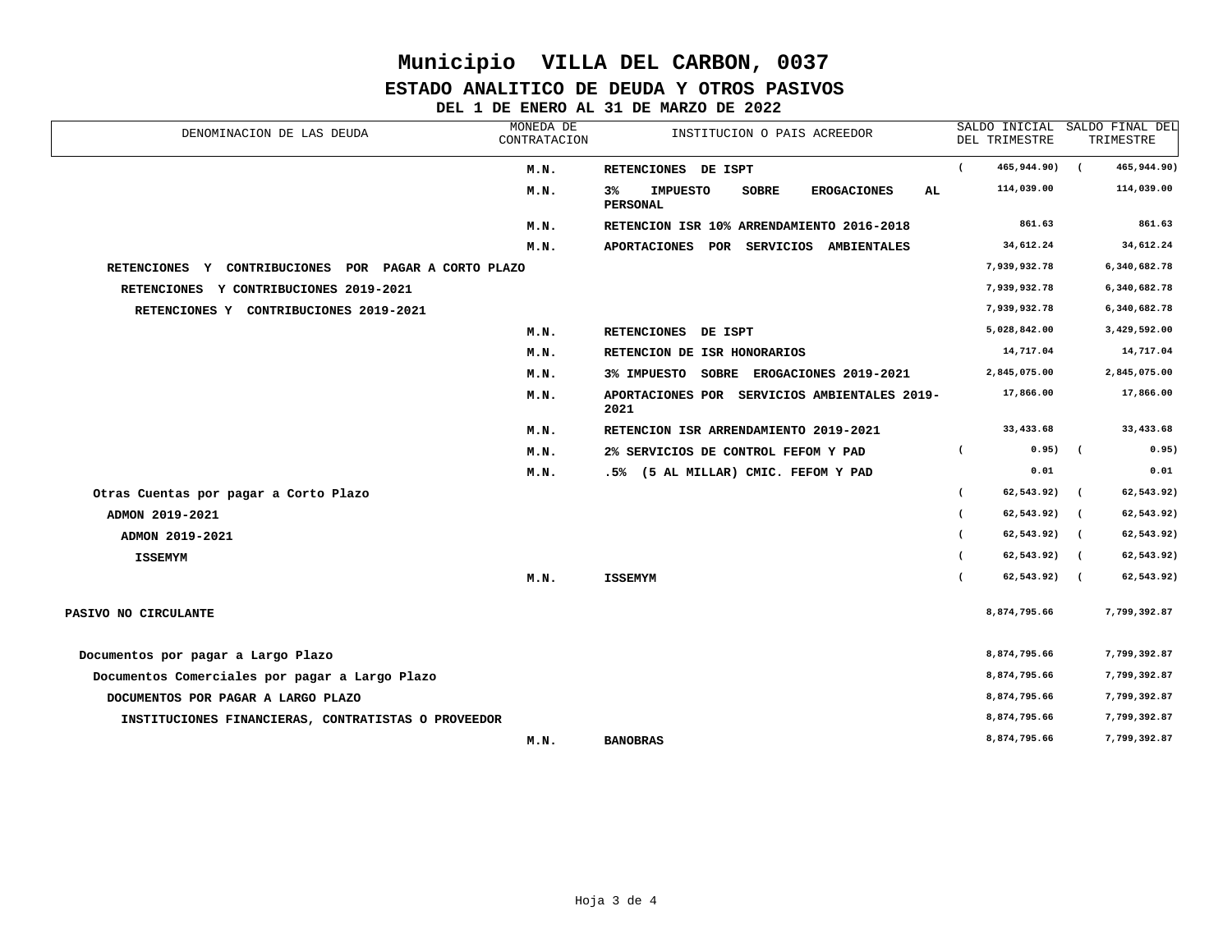### **ESTADO ANALITICO DE DEUDA Y OTROS PASIVOS**

**DEL 1 DE ENERO AL 31 DE MARZO DE 2022**

| MONEDA DE<br>DENOMINACION DE LAS DEUDA<br>INSTITUCION O PAIS ACREEDOR<br>CONTRATACION |      | DEL TRIMESTRE                                                                  |                | SALDO INICIAL SALDO FINAL DEL<br>TRIMESTRE |            |              |
|---------------------------------------------------------------------------------------|------|--------------------------------------------------------------------------------|----------------|--------------------------------------------|------------|--------------|
|                                                                                       | M.N. | RETENCIONES DE ISPT                                                            | $\overline{ }$ | 465,944.90)                                |            | 465,944.90)  |
|                                                                                       | M.N. | <b>IMPUESTO</b><br>AL.<br>3%<br>SOBRE<br><b>EROGACIONES</b><br><b>PERSONAL</b> |                | 114,039.00                                 |            | 114,039.00   |
|                                                                                       | M.N. | RETENCION ISR 10% ARRENDAMIENTO 2016-2018                                      |                | 861.63                                     |            | 861.63       |
|                                                                                       | M.N. | APORTACIONES POR SERVICIOS AMBIENTALES                                         |                | 34,612.24                                  |            | 34,612.24    |
| RETENCIONES Y CONTRIBUCIONES POR PAGAR A CORTO PLAZO                                  |      |                                                                                |                | 7,939,932.78                               |            | 6,340,682.78 |
| RETENCIONES Y CONTRIBUCIONES 2019-2021                                                |      |                                                                                |                | 7,939,932.78                               |            | 6,340,682.78 |
| RETENCIONES Y CONTRIBUCIONES 2019-2021                                                |      |                                                                                |                | 7,939,932.78                               |            | 6,340,682.78 |
|                                                                                       | M.N. | RETENCIONES DE ISPT                                                            |                | 5,028,842.00                               |            | 3,429,592.00 |
|                                                                                       | M.N. | RETENCION DE ISR HONORARIOS                                                    |                | 14,717.04                                  |            | 14,717.04    |
|                                                                                       | M.N. | 3% IMPUESTO SOBRE EROGACIONES 2019-2021                                        |                | 2,845,075.00                               |            | 2,845,075.00 |
|                                                                                       | M.N. | APORTACIONES POR SERVICIOS AMBIENTALES 2019-<br>2021                           |                | 17,866.00                                  |            | 17,866.00    |
|                                                                                       | M.N. | RETENCION ISR ARRENDAMIENTO 2019-2021                                          |                | 33,433.68                                  |            | 33,433.68    |
|                                                                                       | M.N. | 2% SERVICIOS DE CONTROL FEFOM Y PAD                                            | $\overline{ }$ | $0.95)$ (                                  |            | 0.95)        |
|                                                                                       | M.N. | .5% (5 AL MILLAR) CMIC. FEFOM Y PAD                                            |                | 0.01                                       |            | 0.01         |
| Otras Cuentas por pagar a Corto Plazo                                                 |      |                                                                                | $\epsilon$     | 62,543.92)                                 | $\sqrt{2}$ | 62,543.92)   |
| ADMON 2019-2021                                                                       |      |                                                                                | $\epsilon$     | $62,543.92)$ (                             |            | 62,543.92)   |
| ADMON 2019-2021                                                                       |      |                                                                                | $\epsilon$     | 62,543.92) (                               |            | 62,543.92)   |
| <b>ISSEMYM</b>                                                                        |      |                                                                                | $\epsilon$     | $62,543.92)$ (                             |            | 62,543.92)   |
|                                                                                       | M.N. | <b>ISSEMYM</b>                                                                 |                | 62,543.92) (                               |            | 62,543.92)   |
| PASIVO NO CIRCULANTE                                                                  |      |                                                                                |                | 8,874,795.66                               |            | 7,799,392.87 |
| Documentos por pagar a Largo Plazo                                                    |      |                                                                                |                | 8,874,795.66                               |            | 7,799,392.87 |
| Documentos Comerciales por pagar a Largo Plazo                                        |      |                                                                                |                | 8,874,795.66                               |            | 7,799,392.87 |
| DOCUMENTOS POR PAGAR A LARGO PLAZO                                                    |      |                                                                                |                | 8,874,795.66                               |            | 7,799,392.87 |
| INSTITUCIONES FINANCIERAS, CONTRATISTAS O PROVEEDOR                                   |      |                                                                                |                | 8,874,795.66                               |            | 7,799,392.87 |
|                                                                                       | M.N. | <b>BANOBRAS</b>                                                                |                | 8,874,795.66                               |            | 7,799,392.87 |